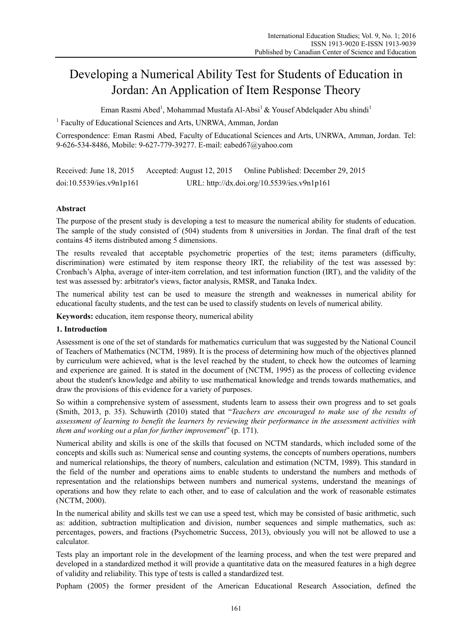# Developing a Numerical Ability Test for Students of Education in Jordan: An Application of Item Response Theory

Eman Rasmi Abed<sup>1</sup>, Mohammad Mustafa Al-Absi<sup>1</sup> & Yousef Abdelqader Abu shindi<sup>1</sup>

<sup>1</sup> Faculty of Educational Sciences and Arts, UNRWA, Amman, Jordan

Correspondence: Eman Rasmi Abed, Faculty of Educational Sciences and Arts, UNRWA, Amman, Jordan. Tel: 9-626-534-8486, Mobile: 9-627-779-39277. E-mail: eabed67@yahoo.com

Received: June 18, 2015 Accepted: August 12, 2015 Online Published: December 29, 2015 doi:10.5539/ies.v9n1p161 URL: http://dx.doi.org/10.5539/ies.v9n1p161

# **Abstract**

The purpose of the present study is developing a test to measure the numerical ability for students of education. The sample of the study consisted of (504) students from 8 universities in Jordan. The final draft of the test contains 45 items distributed among 5 dimensions.

The results revealed that acceptable psychometric properties of the test; items parameters (difficulty, discrimination) were estimated by item response theory IRT, the reliability of the test was assessed by: Cronbach's Alpha, average of inter-item correlation, and test information function (IRT), and the validity of the test was assessed by: arbitrator's views, factor analysis, RMSR, and Tanaka Index.

The numerical ability test can be used to measure the strength and weaknesses in numerical ability for educational faculty students, and the test can be used to classify students on levels of numerical ability.

**Keywords:** education, item response theory, numerical ability

# **1. Introduction**

Assessment is one of the set of standards for mathematics curriculum that was suggested by the National Council of Teachers of Mathematics (NCTM, 1989). It is the process of determining how much of the objectives planned by curriculum were achieved, what is the level reached by the student, to check how the outcomes of learning and experience are gained. It is stated in the document of (NCTM, 1995) as the process of collecting evidence about the student's knowledge and ability to use mathematical knowledge and trends towards mathematics, and draw the provisions of this evidence for a variety of purposes.

So within a comprehensive system of assessment, students learn to assess their own progress and to set goals (Smith, 2013, p. 35). Schuwirth (2010) stated that "*Teachers are encouraged to make use of the results of assessment of learning to benefit the learners by reviewing their performance in the assessment activities with them and working out a plan for further improvement*" (p. 171).

Numerical ability and skills is one of the skills that focused on NCTM standards, which included some of the concepts and skills such as: Numerical sense and counting systems, the concepts of numbers operations, numbers and numerical relationships, the theory of numbers, calculation and estimation (NCTM, 1989). This standard in the field of the number and operations aims to enable students to understand the numbers and methods of representation and the relationships between numbers and numerical systems, understand the meanings of operations and how they relate to each other, and to ease of calculation and the work of reasonable estimates (NCTM, 2000).

In the numerical ability and skills test we can use a speed test, which may be consisted of basic arithmetic, such as: addition, subtraction multiplication and division, number sequences and simple mathematics, such as: percentages, powers, and fractions (Psychometric Success, 2013), obviously you will not be allowed to use a calculator.

Tests play an important role in the development of the learning process, and when the test were prepared and developed in a standardized method it will provide a quantitative data on the measured features in a high degree of validity and reliability. This type of tests is called a standardized test.

Popham (2005) the former president of the American Educational Research Association, defined the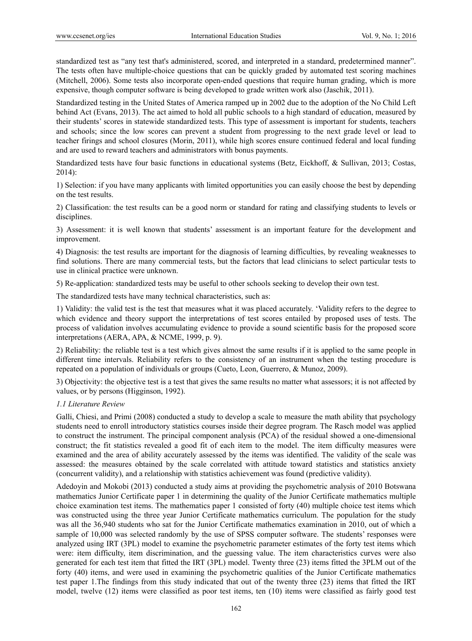standardized test as "any test that's administered, scored, and interpreted in a standard, predetermined manner". The tests often have multiple-choice questions that can be quickly graded by automated test scoring machines (Mitchell, 2006). Some tests also incorporate open-ended questions that require human grading, which is more expensive, though computer software is being developed to grade written work also (Jaschik, 2011).

Standardized testing in the United States of America ramped up in 2002 due to the adoption of the No Child Left behind Act (Evans, 2013). The act aimed to hold all public schools to a high standard of education, measured by their students' scores in statewide standardized tests. This type of assessment is important for students, teachers and schools; since the low scores can prevent a student from progressing to the next grade level or lead to teacher firings and school closures (Morin, 2011), while high scores ensure continued federal and local funding and are used to reward teachers and administrators with bonus payments.

Standardized tests have four basic functions in educational systems (Betz, Eickhoff, & Sullivan, 2013; Costas, 2014):

1) Selection: if you have many applicants with limited opportunities you can easily choose the best by depending on the test results.

2) Classification: the test results can be a good norm or standard for rating and classifying students to levels or disciplines.

3) Assessment: it is well known that students' assessment is an important feature for the development and improvement.

4) Diagnosis: the test results are important for the diagnosis of learning difficulties, by revealing weaknesses to find solutions. There are many commercial tests, but the factors that lead clinicians to select particular tests to use in clinical practice were unknown.

5) Re-application: standardized tests may be useful to other schools seeking to develop their own test.

The standardized tests have many technical characteristics, such as:

1) Validity: the valid test is the test that measures what it was placed accurately. 'Validity refers to the degree to which evidence and theory support the interpretations of test scores entailed by proposed uses of tests. The process of validation involves accumulating evidence to provide a sound scientific basis for the proposed score interpretations (AERA, APA, & NCME, 1999, p. 9).

2) Reliability: the reliable test is a test which gives almost the same results if it is applied to the same people in different time intervals. Reliability refers to the consistency of an instrument when the testing procedure is repeated on a population of individuals or groups (Cueto, Leon, Guerrero, & Munoz, 2009).

3) Objectivity: the objective test is a test that gives the same results no matter what assessors; it is not affected by values, or by persons (Higginson, 1992).

# *1.1 Literature Review*

Galli, Chiesi, and Primi (2008) conducted a study to develop a scale to measure the math ability that psychology students need to enroll introductory statistics courses inside their degree program. The Rasch model was applied to construct the instrument. The principal component analysis (PCA) of the residual showed a one-dimensional construct; the fit statistics revealed a good fit of each item to the model. The item difficulty measures were examined and the area of ability accurately assessed by the items was identified. The validity of the scale was assessed: the measures obtained by the scale correlated with attitude toward statistics and statistics anxiety (concurrent validity), and a relationship with statistics achievement was found (predictive validity).

Adedoyin and Mokobi (2013) conducted a study aims at providing the psychometric analysis of 2010 Botswana mathematics Junior Certificate paper 1 in determining the quality of the Junior Certificate mathematics multiple choice examination test items. The mathematics paper 1 consisted of forty (40) multiple choice test items which was constructed using the three year Junior Certificate mathematics curriculum. The population for the study was all the 36,940 students who sat for the Junior Certificate mathematics examination in 2010, out of which a sample of 10,000 was selected randomly by the use of SPSS computer software. The students' responses were analyzed using IRT (3PL) model to examine the psychometric parameter estimates of the forty test items which were: item difficulty, item discrimination, and the guessing value. The item characteristics curves were also generated for each test item that fitted the IRT (3PL) model. Twenty three (23) items fitted the 3PLM out of the forty (40) items, and were used in examining the psychometric qualities of the Junior Certificate mathematics test paper 1.The findings from this study indicated that out of the twenty three (23) items that fitted the IRT model, twelve (12) items were classified as poor test items, ten (10) items were classified as fairly good test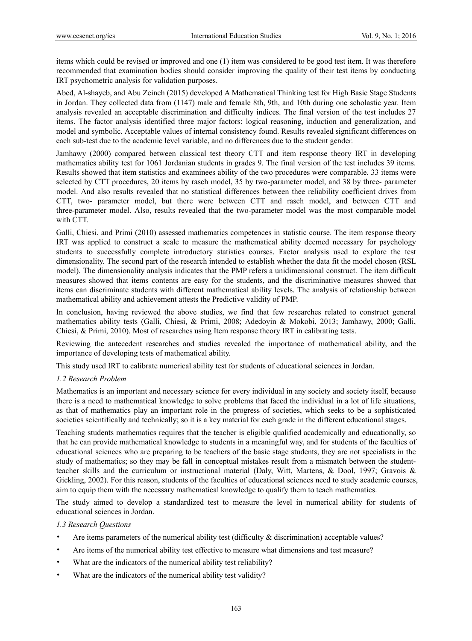items which could be revised or improved and one (1) item was considered to be good test item. It was therefore recommended that examination bodies should consider improving the quality of their test items by conducting IRT psychometric analysis for validation purposes.

Abed, Al-shayeb, and Abu Zeineh (2015) developed A Mathematical Thinking test for High Basic Stage Students in Jordan. They collected data from (1147) male and female 8th, 9th, and 10th during one scholastic year. Item analysis revealed an acceptable discrimination and difficulty indices. The final version of the test includes 27 items. The factor analysis identified three major factors: logical reasoning, induction and generalization, and model and symbolic. Acceptable values of internal consistency found. Results revealed significant differences on each sub-test due to the academic level variable, and no differences due to the student gender.

Jamhawy (2000) compared between classical test theory CTT and item response theory IRT in developing mathematics ability test for 1061 Jordanian students in grades 9. The final version of the test includes 39 items. Results showed that item statistics and examinees ability of the two procedures were comparable. 33 items were selected by CTT procedures, 20 items by rasch model, 35 by two-parameter model, and 38 by three- parameter model. And also results revealed that no statistical differences between thee reliability coefficient drives from CTT, two- parameter model, but there were between CTT and rasch model, and between CTT and three-parameter model. Also, results revealed that the two-parameter model was the most comparable model with CTT.

Galli, Chiesi, and Primi (2010) assessed mathematics competences in statistic course. The item response theory IRT was applied to construct a scale to measure the mathematical ability deemed necessary for psychology students to successfully complete introductory statistics courses. Factor analysis used to explore the test dimensionality. The second part of the research intended to establish whether the data fit the model chosen (RSL model). The dimensionality analysis indicates that the PMP refers a unidimensional construct. The item difficult measures showed that items contents are easy for the students, and the discriminative measures showed that items can discriminate students with different mathematical ability levels. The analysis of relationship between mathematical ability and achievement attests the Predictive validity of PMP.

In conclusion, having reviewed the above studies, we find that few researches related to construct general mathematics ability tests (Galli, Chiesi, & Primi, 2008; Adedoyin & Mokobi, 2013; Jamhawy, 2000; Galli, Chiesi, & Primi, 2010). Most of researches using Item response theory IRT in calibrating tests.

Reviewing the antecedent researches and studies revealed the importance of mathematical ability, and the importance of developing tests of mathematical ability.

This study used IRT to calibrate numerical ability test for students of educational sciences in Jordan.

# *1.2 Research Problem*

Mathematics is an important and necessary science for every individual in any society and society itself, because there is a need to mathematical knowledge to solve problems that faced the individual in a lot of life situations, as that of mathematics play an important role in the progress of societies, which seeks to be a sophisticated societies scientifically and technically; so it is a key material for each grade in the different educational stages.

Teaching students mathematics requires that the teacher is eligible qualified academically and educationally, so that he can provide mathematical knowledge to students in a meaningful way, and for students of the faculties of educational sciences who are preparing to be teachers of the basic stage students, they are not specialists in the study of mathematics; so they may be fall in conceptual mistakes result from a mismatch between the studentteacher skills and the curriculum or instructional material (Daly, Witt, Martens, & Dool, 1997; Gravois & Gickling, 2002). For this reason, students of the faculties of educational sciences need to study academic courses, aim to equip them with the necessary mathematical knowledge to qualify them to teach mathematics.

The study aimed to develop a standardized test to measure the level in numerical ability for students of educational sciences in Jordan.

# *1.3 Research Questions*

- Are items parameters of the numerical ability test (difficulty & discrimination) acceptable values?
- Are items of the numerical ability test effective to measure what dimensions and test measure?
- What are the indicators of the numerical ability test reliability?
- What are the indicators of the numerical ability test validity?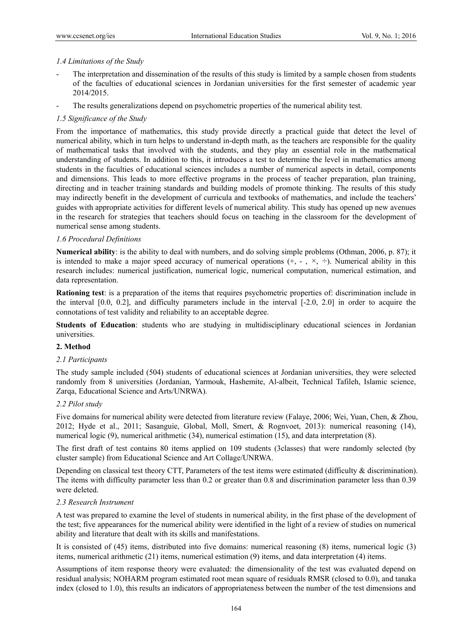# *1.4 Limitations of the Study*

- The interpretation and dissemination of the results of this study is limited by a sample chosen from students of the faculties of educational sciences in Jordanian universities for the first semester of academic year 2014/2015.
- The results generalizations depend on psychometric properties of the numerical ability test.

# *1.5 Significance of the Study*

From the importance of mathematics, this study provide directly a practical guide that detect the level of numerical ability, which in turn helps to understand in-depth math, as the teachers are responsible for the quality of mathematical tasks that involved with the students, and they play an essential role in the mathematical understanding of students. In addition to this, it introduces a test to determine the level in mathematics among students in the faculties of educational sciences includes a number of numerical aspects in detail, components and dimensions. This leads to more effective programs in the process of teacher preparation, plan training, directing and in teacher training standards and building models of promote thinking. The results of this study may indirectly benefit in the development of curricula and textbooks of mathematics, and include the teachers' guides with appropriate activities for different levels of numerical ability. This study has opened up new avenues in the research for strategies that teachers should focus on teaching in the classroom for the development of numerical sense among students.

# *1.6 Procedural Definitions*

**Numerical ability**: is the ability to deal with numbers, and do solving simple problems (Othman, 2006, p. 87); it is intended to make a major speed accuracy of numerical operations  $(+, -, \times, \div)$ . Numerical ability in this research includes: numerical justification, numerical logic, numerical computation, numerical estimation, and data representation.

**Rationing test**: is a preparation of the items that requires psychometric properties of: discrimination include in the interval [0.0, 0.2], and difficulty parameters include in the interval [-2.0, 2.0] in order to acquire the connotations of test validity and reliability to an acceptable degree.

**Students of Education**: students who are studying in multidisciplinary educational sciences in Jordanian universities.

# **2. Method**

#### *2.1 Participants*

The study sample included (504) students of educational sciences at Jordanian universities, they were selected randomly from 8 universities (Jordanian, Yarmouk, Hashemite, Al-albeit, Technical Tafileh, Islamic science, Zarqa, Educational Science and Arts/UNRWA).

#### *2.2 Pilot study*

Five domains for numerical ability were detected from literature review (Falaye, 2006; Wei, Yuan, Chen, & Zhou, 2012; Hyde et al., 2011; Sasanguie, Global, Moll, Smert, & Rognvoet, 2013): numerical reasoning (14), numerical logic (9), numerical arithmetic (34), numerical estimation (15), and data interpretation (8).

The first draft of test contains 80 items applied on 109 students (3classes) that were randomly selected (by cluster sample) from Educational Science and Art Collage/UNRWA.

Depending on classical test theory CTT, Parameters of the test items were estimated (difficulty & discrimination). The items with difficulty parameter less than 0.2 or greater than 0.8 and discrimination parameter less than 0.39 were deleted.

# *2.3 Research Instrument*

A test was prepared to examine the level of students in numerical ability, in the first phase of the development of the test; five appearances for the numerical ability were identified in the light of a review of studies on numerical ability and literature that dealt with its skills and manifestations.

It is consisted of (45) items, distributed into five domains: numerical reasoning (8) items, numerical logic (3) items, numerical arithmetic (21) items, numerical estimation (9) items, and data interpretation (4) items.

Assumptions of item response theory were evaluated: the dimensionality of the test was evaluated depend on residual analysis; NOHARM program estimated root mean square of residuals RMSR (closed to 0.0), and tanaka index (closed to 1.0), this results an indicators of appropriateness between the number of the test dimensions and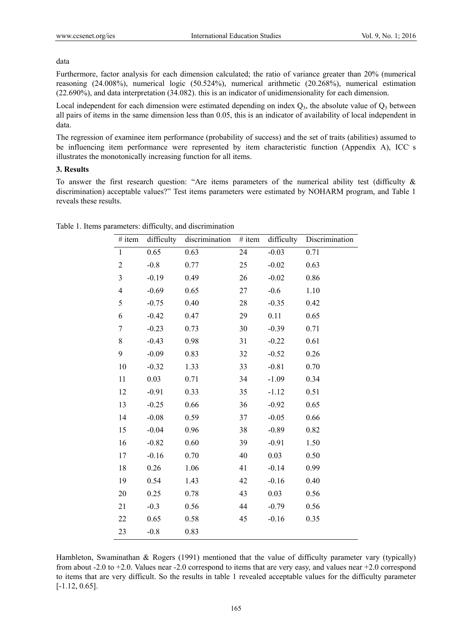### data

Furthermore, factor analysis for each dimension calculated; the ratio of variance greater than 20% (numerical reasoning (24.008%), numerical logic (50.524%), numerical arithmetic (20.268%), numerical estimation (22.690%), and data interpretation (34.082). this is an indicator of unidimensionality for each dimension.

Local independent for each dimension were estimated depending on index  $Q_3$ , the absolute value of  $Q_3$  between all pairs of items in the same dimension less than 0.05, this is an indicator of availability of local independent in data.

The regression of examinee item performance (probability of success) and the set of traits (abilities) assumed to be influencing item performance were represented by item characteristic function (Appendix A), ICC s illustrates the monotonically increasing function for all items.

# **3. Results**

To answer the first research question: "Are items parameters of the numerical ability test (difficulty & discrimination) acceptable values?" Test items parameters were estimated by NOHARM program, and Table 1 reveals these results.

| $#$ item       | difficulty | discrimination | # item | difficulty | Discrimination |
|----------------|------------|----------------|--------|------------|----------------|
| $\mathbf{1}$   | 0.65       | 0.63           | 24     | $-0.03$    | 0.71           |
| $\overline{2}$ | $-0.8$     | 0.77           | 25     | $-0.02$    | 0.63           |
| $\overline{3}$ | $-0.19$    | 0.49           | 26     | $-0.02$    | 0.86           |
| $\overline{4}$ | $-0.69$    | 0.65           | 27     | $-0.6$     | 1.10           |
| 5              | $-0.75$    | 0.40           | 28     | $-0.35$    | 0.42           |
| 6              | $-0.42$    | 0.47           | 29     | 0.11       | 0.65           |
| 7              | $-0.23$    | 0.73           | 30     | $-0.39$    | 0.71           |
| 8              | $-0.43$    | 0.98           | 31     | $-0.22$    | 0.61           |
| 9              | $-0.09$    | 0.83           | 32     | $-0.52$    | 0.26           |
| 10             | $-0.32$    | 1.33           | 33     | $-0.81$    | 0.70           |
| 11             | 0.03       | 0.71           | 34     | $-1.09$    | 0.34           |
| 12             | $-0.91$    | 0.33           | 35     | $-1.12$    | 0.51           |
| 13             | $-0.25$    | 0.66           | 36     | $-0.92$    | 0.65           |
| 14             | $-0.08$    | 0.59           | 37     | $-0.05$    | 0.66           |
| 15             | $-0.04$    | 0.96           | 38     | $-0.89$    | 0.82           |
| 16             | $-0.82$    | 0.60           | 39     | $-0.91$    | 1.50           |
| 17             | $-0.16$    | 0.70           | 40     | 0.03       | 0.50           |
| 18             | 0.26       | 1.06           | 41     | $-0.14$    | 0.99           |
| 19             | 0.54       | 1.43           | 42     | $-0.16$    | 0.40           |
| 20             | 0.25       | 0.78           | 43     | 0.03       | 0.56           |
| 21             | $-0.3$     | 0.56           | 44     | $-0.79$    | 0.56           |
| 22             | 0.65       | 0.58           | 45     | $-0.16$    | 0.35           |
| 23             | $-0.8$     | 0.83           |        |            |                |

|  |  |  |  | Table 1. Items parameters: difficulty, and discrimination |
|--|--|--|--|-----------------------------------------------------------|
|--|--|--|--|-----------------------------------------------------------|

Hambleton, Swaminathan & Rogers (1991) mentioned that the value of difficulty parameter vary (typically) from about -2.0 to +2.0. Values near -2.0 correspond to items that are very easy, and values near +2.0 correspond to items that are very difficult. So the results in table 1 revealed acceptable values for the difficulty parameter [-1.12, 0.65].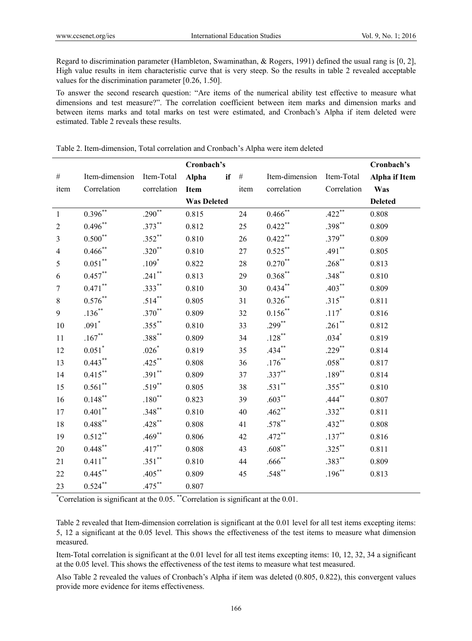Regard to discrimination parameter (Hambleton, Swaminathan, & Rogers, 1991) defined the usual rang is [0, 2], High value results in item characteristic curve that is very steep. So the results in table 2 revealed acceptable values for the discrimination parameter [0.26, 1.50].

To answer the second research question: "Are items of the numerical ability test effective to measure what dimensions and test measure?". The correlation coefficient between item marks and dimension marks and between items marks and total marks on test were estimated, and Cronbach's Alpha if item deleted were estimated. Table 2 reveals these results.

| Table 2. Item-dimension, Total correlation and Cronbach's Alpha were item deleted |  |  |  |
|-----------------------------------------------------------------------------------|--|--|--|
|-----------------------------------------------------------------------------------|--|--|--|

|                |                      |                    | Cronbach's         |    |      | Cronbach's           |                                     |                |
|----------------|----------------------|--------------------|--------------------|----|------|----------------------|-------------------------------------|----------------|
| $\#$           | Item-dimension       | Item-Total         | Alpha              | if | $\#$ | Item-dimension       | Item-Total                          | Alpha if Item  |
| item           | Correlation          | correlation        | Item               |    | item | correlation          | Correlation                         | Was            |
|                |                      |                    | <b>Was Deleted</b> |    |      |                      |                                     | <b>Deleted</b> |
| $\mathbf{1}$   | $0.396^{**}$         | .290 <sup>**</sup> | 0.815              |    | 24   | $0.466^{**}$         | .422                                | 0.808          |
| $\sqrt{2}$     | $0.496**$            | $.373***$          | 0.812              |    | 25   | $0.422***$           | $.398***$                           | 0.809          |
| $\mathfrak{Z}$ | $0.500**$            | $.352**$           | 0.810              |    | 26   | $0.422***$           | $.379^{**}$                         | 0.809          |
| $\overline{4}$ | $0.466$ **           | $.320***$          | 0.810              |    | 27   | $0.525***$           | $.491***$                           | 0.805          |
| $\sqrt{5}$     | $0.051***$           | $.109*$            | 0.822              |    | 28   | $0.270***$           | $.268***$                           | 0.813          |
| 6              | $0.457***$           | .241**             | 0.813              |    | 29   | $0.368***$           | $.348***$                           | 0.810          |
| 7              | $0.471***$           | $.333***$          | 0.810              |    | 30   | $0.434***$           | $.403***$                           | 0.809          |
| $8\,$          | $0.576***$           | $.514***$          | 0.805              |    | 31   | $0.326***$           | .315**                              | 0.811          |
| 9              | $.136***$            | $.370***$          | 0.809              |    | 32   | $0.156$ **           | $.117^{*}$                          | 0.816          |
| 10             | $.091*$              | $.355***$          | 0.810              |    | 33   | $.299***$            | .261**                              | 0.812          |
| 11             | $.167**$             | $.388***$          | 0.809              |    | 34   | $.128***$            | $.034*$                             | 0.819          |
| 12             | $0.051$ <sup>*</sup> | $.026^{*}$         | 0.819              |    | 35   | $.434***$            | $.229$ **                           | 0.814          |
| 13             | $0.443***$           | $.425***$          | 0.808              |    | 36   | $.176^{**}$          | $.058***$                           | 0.817          |
| 14             | $0.415^{\ast\ast}$   | .391**             | 0.809              |    | 37   | $.337***$            | $.189$ $\hspace{-1.5mm}^{\ast\ast}$ | 0.814          |
| 15             | $0.561$ **           | .519**             | 0.805              |    | 38   | .531**               | $.355***$                           | 0.810          |
| 16             | $0.148***$           | $.180\sp{*}^*$     | 0.823              |    | 39   | $.603**$             | $.444$ **                           | 0.807          |
| 17             | $0.401\sp{**}$       | $.348***$          | 0.810              |    | 40   | $.462***$            | $.332***$                           | 0.811          |
| 18             | $0.488^{**}$         | $.428***$          | 0.808              |    | 41   | $.578***$            | $.432***$                           | 0.808          |
| 19             | $0.512\sp{**}$       | $.469***$          | 0.806              |    | 42   | $.472***$            | .137**                              | 0.816          |
| $20\,$         | $0.448***$           | $.417\sp{*}$       | 0.808              |    | 43   | $.608^{**}$          | $.325***$                           | 0.811          |
| 21             | $0.411***$           | $.351***$          | 0.810              |    | 44   | $.666$ <sup>**</sup> | $.383***$                           | 0.809          |
| 22             | $0.445***$           | $.405***$          | 0.809              |    | 45   | $.548***$            | .196**                              | 0.813          |
| 23             | $0.524***$           | $.475***$          | 0.807              |    |      |                      |                                     |                |

\* Correlation is significant at the 0.05. \*\*Correlation is significant at the 0.01.

Table 2 revealed that Item-dimension correlation is significant at the 0.01 level for all test items excepting items: 5, 12 a significant at the 0.05 level. This shows the effectiveness of the test items to measure what dimension measured.

Item-Total correlation is significant at the 0.01 level for all test items excepting items: 10, 12, 32, 34 a significant at the 0.05 level. This shows the effectiveness of the test items to measure what test measured.

Also Table 2 revealed the values of Cronbach's Alpha if item was deleted (0.805, 0.822), this convergent values provide more evidence for items effectiveness.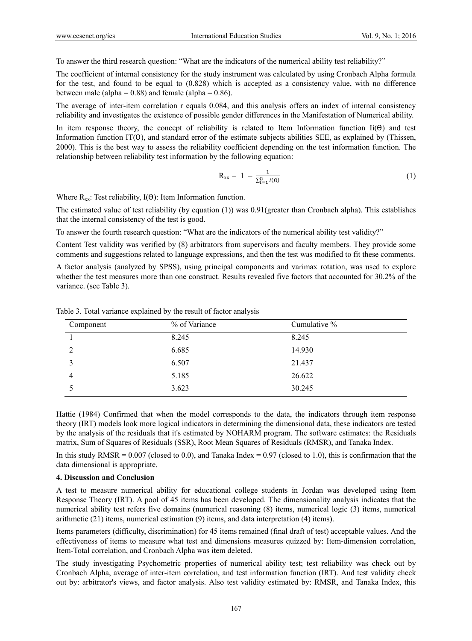To answer the third research question: "What are the indicators of the numerical ability test reliability?"

The coefficient of internal consistency for the study instrument was calculated by using Cronbach Alpha formula for the test, and found to be equal to (0.828) which is accepted as a consistency value, with no difference between male (alpha =  $0.88$ ) and female (alpha =  $0.86$ ).

The average of inter-item correlation r equals 0.084, and this analysis offers an index of internal consistency reliability and investigates the existence of possible gender differences in the Manifestation of Numerical ability.

In item response theory, the concept of reliability is related to Item Information function  $\text{Li}(\theta)$  and test Information function IT( $\Theta$ ), and standard error of the estimate subjects abilities SEE, as explained by (Thissen, 2000). This is the best way to assess the reliability coefficient depending on the test information function. The relationship between reliability test information by the following equation:

$$
R_{xx} = 1 - \frac{1}{\sum_{i=1}^{n} I(\theta)}
$$
 (1)

Where  $R_{xx}$ : Test reliability, I( $\Theta$ ): Item Information function.

The estimated value of test reliability (by equation (1)) was 0.91(greater than Cronbach alpha). This establishes that the internal consistency of the test is good.

To answer the fourth research question: "What are the indicators of the numerical ability test validity?"

Content Test validity was verified by (8) arbitrators from supervisors and faculty members. They provide some comments and suggestions related to language expressions, and then the test was modified to fit these comments.

A factor analysis (analyzed by SPSS), using principal components and varimax rotation, was used to explore whether the test measures more than one construct. Results revealed five factors that accounted for 30.2% of the variance. (see Table 3).

| Component      | % of Variance | Cumulative % |  |
|----------------|---------------|--------------|--|
|                | 8.245         | 8.245        |  |
| 2              | 6.685         | 14.930       |  |
|                | 6.507         | 21.437       |  |
| $\overline{4}$ | 5.185         | 26.622       |  |
|                | 3.623         | 30.245       |  |

Table 3. Total variance explained by the result of factor analysis

Hattie (1984) Confirmed that when the model corresponds to the data, the indicators through item response theory (IRT) models look more logical indicators in determining the dimensional data, these indicators are tested by the analysis of the residuals that it's estimated by NOHARM program. The software estimates: the Residuals matrix, Sum of Squares of Residuals (SSR), Root Mean Squares of Residuals (RMSR), and Tanaka Index.

In this study RMSR =  $0.007$  (closed to 0.0), and Tanaka Index = 0.97 (closed to 1.0), this is confirmation that the data dimensional is appropriate.

# **4. Discussion and Conclusion**

A test to measure numerical ability for educational college students in Jordan was developed using Item Response Theory (IRT). A pool of 45 items has been developed. The dimensionality analysis indicates that the numerical ability test refers five domains (numerical reasoning (8) items, numerical logic (3) items, numerical arithmetic (21) items, numerical estimation (9) items, and data interpretation (4) items).

Items parameters (difficulty, discrimination) for 45 items remained (final draft of test) acceptable values. And the effectiveness of items to measure what test and dimensions measures quizzed by: Item-dimension correlation, Item-Total correlation, and Cronbach Alpha was item deleted.

The study investigating Psychometric properties of numerical ability test; test reliability was check out by Cronbach Alpha, average of inter-item correlation, and test information function (IRT). And test validity check out by: arbitrator's views, and factor analysis. Also test validity estimated by: RMSR, and Tanaka Index, this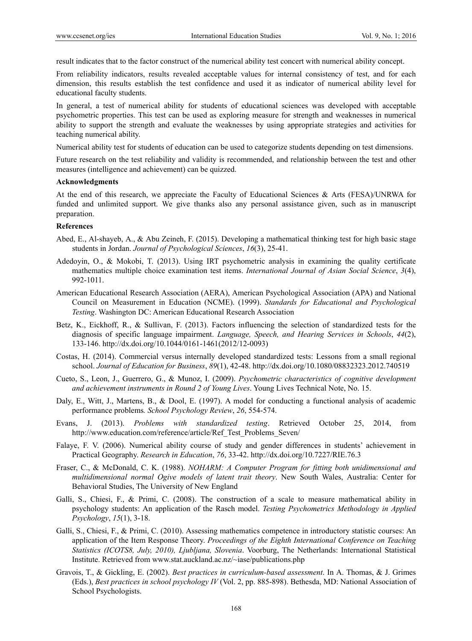result indicates that to the factor construct of the numerical ability test concert with numerical ability concept.

From reliability indicators, results revealed acceptable values for internal consistency of test, and for each dimension, this results establish the test confidence and used it as indicator of numerical ability level for educational faculty students.

In general, a test of numerical ability for students of educational sciences was developed with acceptable psychometric properties. This test can be used as exploring measure for strength and weaknesses in numerical ability to support the strength and evaluate the weaknesses by using appropriate strategies and activities for teaching numerical ability.

Numerical ability test for students of education can be used to categorize students depending on test dimensions.

Future research on the test reliability and validity is recommended, and relationship between the test and other measures (intelligence and achievement) can be quizzed.

#### **Acknowledgments**

At the end of this research, we appreciate the Faculty of Educational Sciences & Arts (FESA)/UNRWA for funded and unlimited support. We give thanks also any personal assistance given, such as in manuscript preparation.

# **References**

- Abed, E., Al-shayeb, A., & Abu Zeineh, F. (2015). Developing a mathematical thinking test for high basic stage students in Jordan. *Journal of Psychological Sciences*, *16*(3), 25-41.
- Adedoyin, O., & Mokobi, T. (2013). Using IRT psychometric analysis in examining the quality certificate mathematics multiple choice examination test items. *International Journal of Asian Social Science*, *3*(4), 992-1011.
- American Educational Research Association (AERA), American Psychological Association (APA) and National Council on Measurement in Education (NCME). (1999). *Standards for Educational and Psychological Testing*. Washington DC: American Educational Research Association
- Betz, K., Eickhoff, R., & Sullivan, F. (2013). Factors influencing the selection of standardized tests for the diagnosis of specific language impairment. *Language, Speech, and Hearing Services in Schools*, *44*(2), 133-146. http://dx.doi.org/10.1044/0161-1461(2012/12-0093)
- Costas, H. (2014). Commercial versus internally developed standardized tests: Lessons from a small regional school. *Journal of Education for Business*, *89*(1), 42-48. http://dx.doi.org/10.1080/08832323.2012.740519
- Cueto, S., Leon, J., Guerrero, G., & Munoz, I. (2009). *Psychometric characteristics of cognitive development and achievement instruments in Round 2 of Young Lives*. Young Lives Technical Note, No. 15.
- Daly, E., Witt, J., Martens, B., & Dool, E. (1997). A model for conducting a functional analysis of academic performance problems*. School Psychology Review*, *26*, 554-574.
- Evans, J. (2013). *Problems with standardized testing*. Retrieved October 25, 2014, from http://www.education.com/reference/article/Ref\_Test\_Problems\_Seven/
- Falaye, F. V. (2006). Numerical ability course of study and gender differences in students' achievement in Practical Geography. *Research in Education*, *76*, 33-42. http://dx.doi.org/10.7227/RIE.76.3
- Fraser, C., & McDonald, C. K. (1988). *NOHARM: A Computer Program for fitting both unidimensional and multidimensional normal Ogive models of latent trait theory*. New South Wales, Australia: Center for Behavioral Studies, The University of New England
- Galli, S., Chiesi, F., & Primi, C. (2008). The construction of a scale to measure mathematical ability in psychology students: An application of the Rasch model. *Testing Psychometrics Methodology in Applied Psychology*, *15*(1), 3-18.
- Galli, S., Chiesi, F., & Primi, C. (2010). Assessing mathematics competence in introductory statistic courses: An application of the Item Response Theory. *Proceedings of the Eighth International Conference on Teaching Statistics (ICOTS8, July, 2010), Ljubljana, Slovenia*. Voorburg, The Netherlands: International Statistical Institute. Retrieved from www.stat.auckland.ac.nz/~iase/publications.php
- Gravois, T., & Gickling, E. (2002). *Best practices in curriculum-based assessment*. In A. Thomas, & J. Grimes (Eds.), *Best practices in school psychology IV* (Vol. 2, pp. 885-898). Bethesda, MD: National Association of School Psychologists.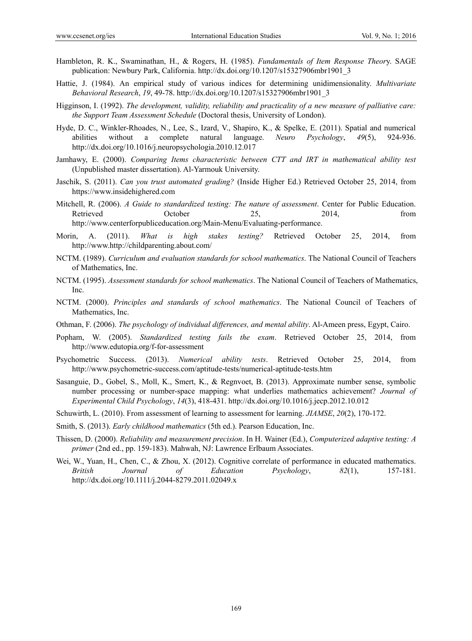- Hambleton, R. K., Swaminathan, H., & Rogers, H. (1985). *Fundamentals of Item Response Theor*y. SAGE publication: Newbury Park, California. http://dx.doi.org/10.1207/s15327906mbr1901\_3
- Hattie, J. (1984). An empirical study of various indices for determining unidimensionality. *Multivariate Behavioral Research*, *19*, 49-78. http://dx.doi.org/10.1207/s15327906mbr1901\_3
- Higginson, I. (1992). *The development, validity, reliability and practicality of a new measure of palliative care: the Support Team Assessment Schedule* (Doctoral thesis, University of London).
- Hyde, D. C., Winkler-Rhoades, N., Lee, S., Izard, V., Shapiro, K., & Spelke, E. (2011). Spatial and numerical abilities without a complete natural language. *Neuro Psychology*, *49*(5), 924-936. http://dx.doi.org/10.1016/j.neuropsychologia.2010.12.017
- Jamhawy, E. (2000). *Comparing Items characteristic between CTT and IRT in mathematical ability test* (Unpublished master dissertation). Al-Yarmouk University.
- Jaschik, S. (2011). *Can you trust automated grading?* (Inside Higher Ed.) Retrieved October 25, 2014, from https://www.insidehighered.com
- Mitchell, R. (2006). *A Guide to standardized testing: The nature of assessment*. Center for Public Education. Retrieved October 25, 2014, from http://www.centerforpubliceducation.org/Main-Menu/Evaluating-performance.
- Morin, A. (2011). *What is high stakes testing?* Retrieved October 25, 2014, from http://www.http://childparenting.about.com/
- NCTM. (1989). *Curriculum and evaluation standards for school mathematics*. The National Council of Teachers of Mathematics, Inc.
- NCTM. (1995). *Assessment standards for school mathematics*. The National Council of Teachers of Mathematics, Inc.
- NCTM. (2000). *Principles and standards of school mathematics*. The National Council of Teachers of Mathematics, Inc.
- Othman, F. (2006). *The psychology of individual differences, and mental ability*. Al-Ameen press, Egypt, Cairo.
- Popham, W. (2005). *Standardized testing fails the exam*. Retrieved October 25, 2014, from http://www.edutopia.org/f-for-assessment
- Psychometric Success. (2013). *Numerical ability tests*. Retrieved October 25, 2014, from http://www.psychometric-success.com/aptitude-tests/numerical-aptitude-tests.htm
- Sasanguie, D., Gobel, S., Moll, K., Smert, K., & Regnvoet, B. (2013). Approximate number sense, symbolic number processing or number-space mapping: what underlies mathematics achievement? *Journal of Experimental Child Psychology*, *14*(3), 418-431. http://dx.doi.org/10.1016/j.jecp.2012.10.012
- Schuwirth, L. (2010). From assessment of learning to assessment for learning. *JIAMSE*, *20*(2), 170-172.
- Smith, S. (2013). *Early childhood mathematics* (5th ed.). Pearson Education, Inc.
- Thissen, D. (2000). *Reliability and measurement precision*. In H. Wainer (Ed.), *Computerized adaptive testing: A primer* (2nd ed., pp. 159-183). Mahwah, NJ: Lawrence Erlbaum Associates.
- Wei, W., Yuan, H., Chen, C., & Zhou, X. (2012). Cognitive correlate of performance in educated mathematics. *British Journal of Education Psychology*, *82*(1), 157-181. http://dx.doi.org/10.1111/j.2044-8279.2011.02049.x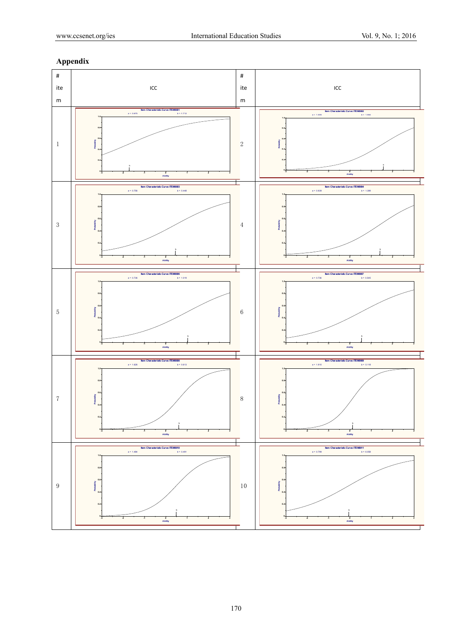



170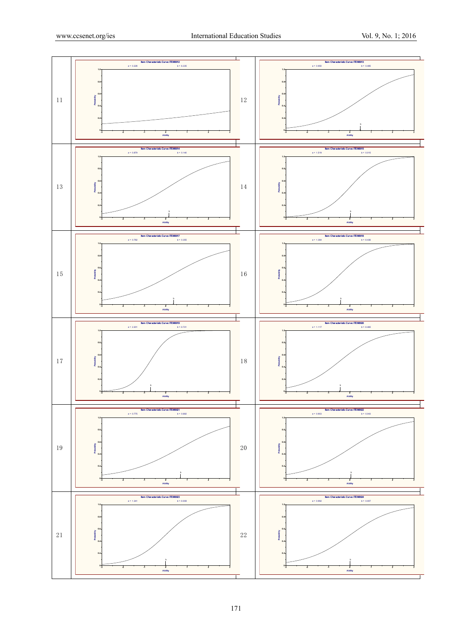![](_page_10_Figure_3.jpeg)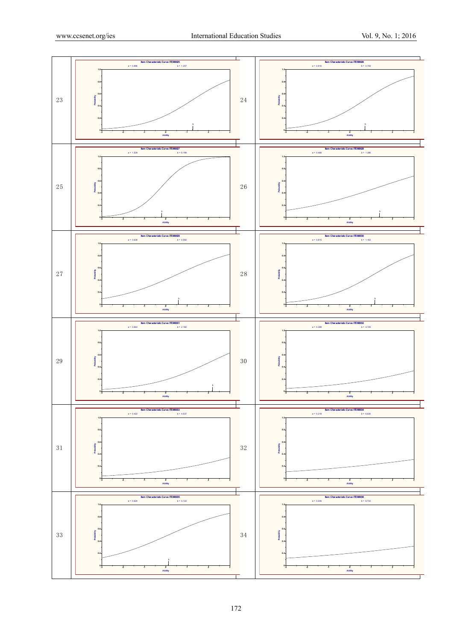![](_page_11_Figure_3.jpeg)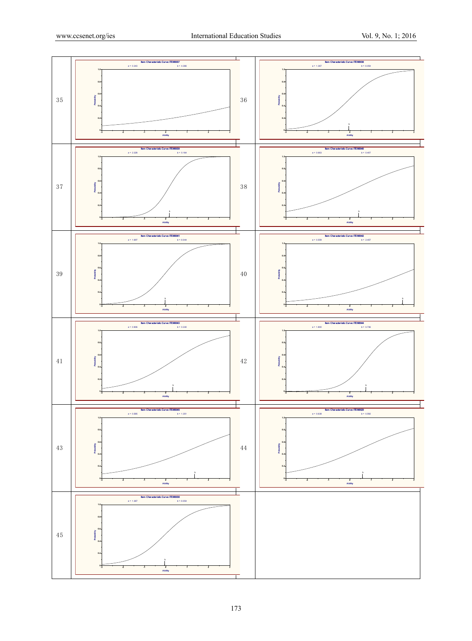![](_page_12_Figure_3.jpeg)